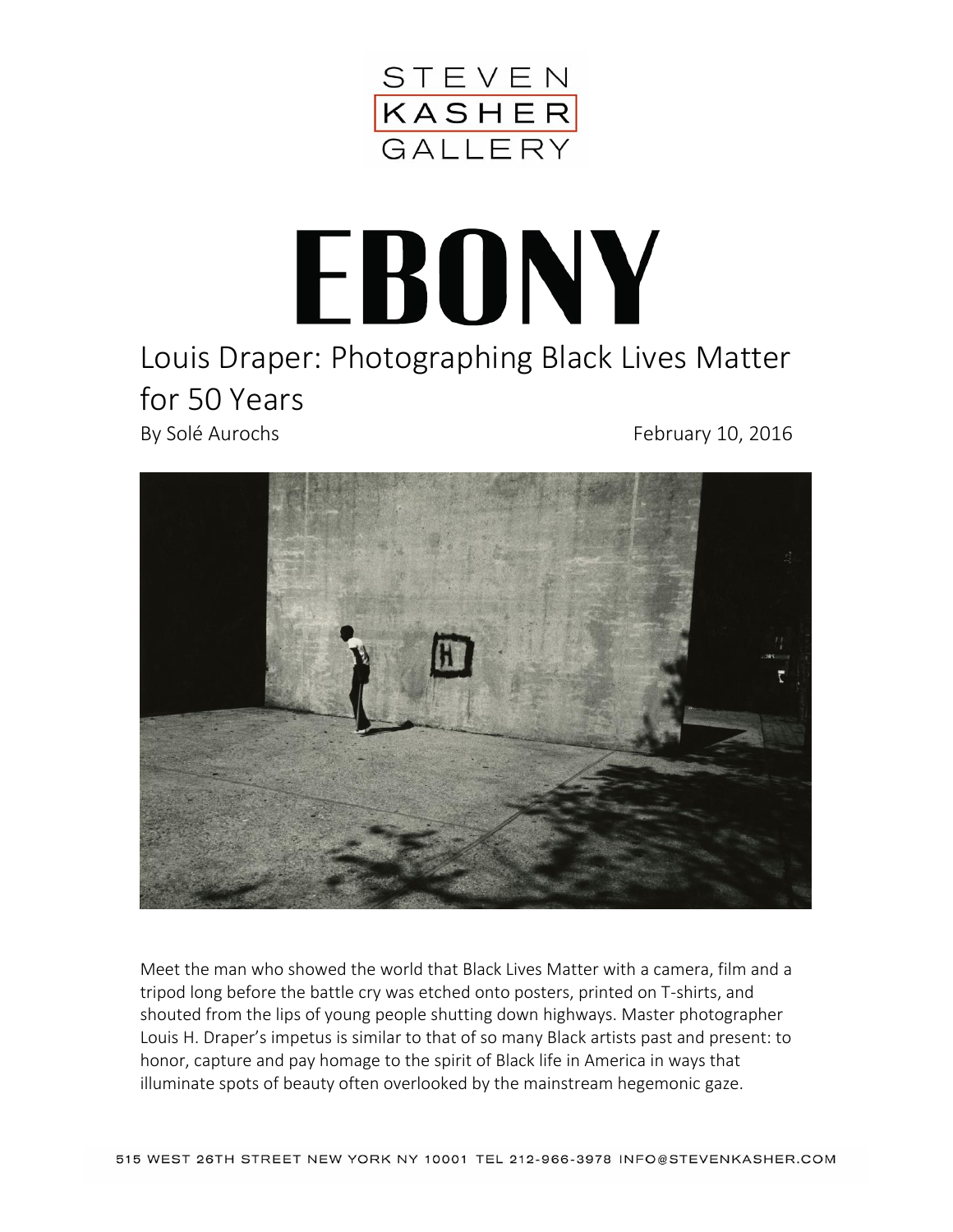

## EBONY

## Louis Draper: Photographing Black Lives Matter for 50 Years

By Solé Aurochs **February 10, 2016** 



Meet the man who showed the world that Black Lives Matter with a camera, film and a tripod long before the battle cry was etched onto posters, printed on T-shirts, and shouted from the lips of young people shutting down highways. Master photographer Louis H. Draper's impetus is similar to that of so many Black artists past and present: to honor, capture and pay homage to the spirit of Black life in America in ways that illuminate spots of beauty often overlooked by the mainstream hegemonic gaze.